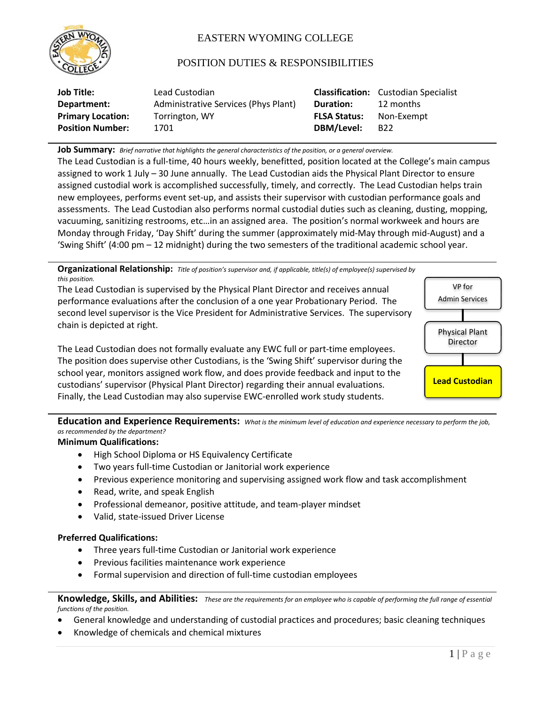

# EASTERN WYOMING COLLEGE

## POSITION DUTIES & RESPONSIBILITIES

| Job Title:               | Lead Custodian                       |                     | <b>Classification:</b> Custodian Specialist |
|--------------------------|--------------------------------------|---------------------|---------------------------------------------|
| Department:              | Administrative Services (Phys Plant) | <b>Duration:</b>    | 12 months                                   |
| <b>Primary Location:</b> | Torrington, WY                       | <b>FLSA Status:</b> | Non-Exempt                                  |
| <b>Position Number:</b>  | 1701                                 | DBM/Level:          | B <sub>22</sub>                             |

**Job Summary:** *Brief narrative that highlights the general characteristics of the position, or a general overview.*

The Lead Custodian is a full-time, 40 hours weekly, benefitted, position located at the College's main campus assigned to work 1 July – 30 June annually. The Lead Custodian aids the Physical Plant Director to ensure assigned custodial work is accomplished successfully, timely, and correctly. The Lead Custodian helps train new employees, performs event set-up, and assists their supervisor with custodian performance goals and assessments. The Lead Custodian also performs normal custodial duties such as cleaning, dusting, mopping, vacuuming, sanitizing restrooms, etc…in an assigned area. The position's normal workweek and hours are Monday through Friday, 'Day Shift' during the summer (approximately mid-May through mid-August) and a 'Swing Shift' (4:00 pm – 12 midnight) during the two semesters of the traditional academic school year.

**Organizational Relationship:** *Title of position's supervisor and, if applicable, title(s) of employee(s) supervised by this position.*

The Lead Custodian is supervised by the Physical Plant Director and receives annual performance evaluations after the conclusion of a one year Probationary Period. The second level supervisor is the Vice President for Administrative Services. The supervisory chain is depicted at right.

The Lead Custodian does not formally evaluate any EWC full or part-time employees. The position does supervise other Custodians, is the 'Swing Shift' supervisor during the school year, monitors assigned work flow, and does provide feedback and input to the custodians' supervisor (Physical Plant Director) regarding their annual evaluations. Finally, the Lead Custodian may also supervise EWC-enrolled work study students.



**Education and Experience Requirements:** *What is the minimum level of education and experience necessary to perform the job, as recommended by the department?*

### **Minimum Qualifications:**

- High School Diploma or HS Equivalency Certificate
- Two years full-time Custodian or Janitorial work experience
- Previous experience monitoring and supervising assigned work flow and task accomplishment
- Read, write, and speak English
- Professional demeanor, positive attitude, and team-player mindset
- Valid, state-issued Driver License

### **Preferred Qualifications:**

- Three years full-time Custodian or Janitorial work experience
- Previous facilities maintenance work experience
- Formal supervision and direction of full-time custodian employees

**Knowledge, Skills, and Abilities:** *These are the requirements for an employee who is capable of performing the full range of essential functions of the position.*

- General knowledge and understanding of custodial practices and procedures; basic cleaning techniques
- Knowledge of chemicals and chemical mixtures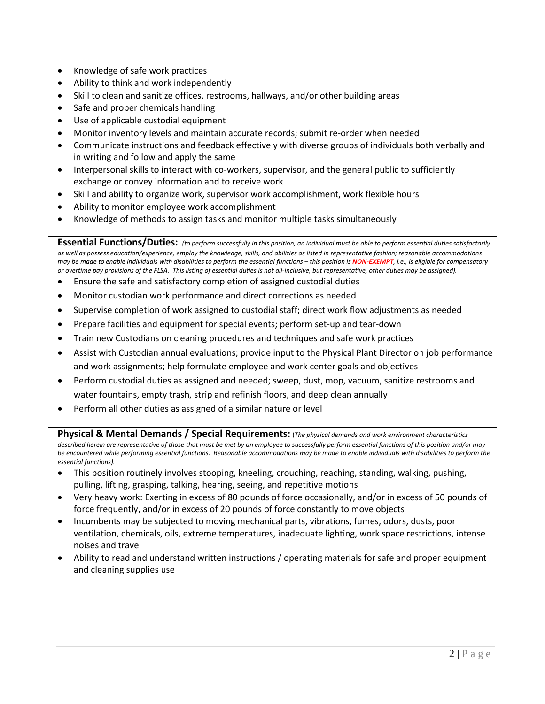- Knowledge of safe work practices
- Ability to think and work independently
- Skill to clean and sanitize offices, restrooms, hallways, and/or other building areas
- Safe and proper chemicals handling
- Use of applicable custodial equipment
- Monitor inventory levels and maintain accurate records; submit re-order when needed
- Communicate instructions and feedback effectively with diverse groups of individuals both verbally and in writing and follow and apply the same
- Interpersonal skills to interact with co-workers, supervisor, and the general public to sufficiently exchange or convey information and to receive work
- Skill and ability to organize work, supervisor work accomplishment, work flexible hours
- Ability to monitor employee work accomplishment
- Knowledge of methods to assign tasks and monitor multiple tasks simultaneously

**Essential Functions/Duties:** *(to perform successfully in this position, an individual must be able to perform essential duties satisfactorily as well as possess education/experience, employ the knowledge, skills, and abilities as listed in representative fashion; reasonable accommodations may be made to enable individuals with disabilities to perform the essential functions – this position is NON-EXEMPT, i.e., is eligible for compensatory or overtime pay provisions of the FLSA. This listing of essential duties is not all-inclusive, but representative, other duties may be assigned).*

- Ensure the safe and satisfactory completion of assigned custodial duties
- Monitor custodian work performance and direct corrections as needed
- Supervise completion of work assigned to custodial staff; direct work flow adjustments as needed
- Prepare facilities and equipment for special events; perform set-up and tear-down
- Train new Custodians on cleaning procedures and techniques and safe work practices
- Assist with Custodian annual evaluations; provide input to the Physical Plant Director on job performance and work assignments; help formulate employee and work center goals and objectives
- Perform custodial duties as assigned and needed; sweep, dust, mop, vacuum, sanitize restrooms and water fountains, empty trash, strip and refinish floors, and deep clean annually
- Perform all other duties as assigned of a similar nature or level

**Physical & Mental Demands / Special Requirements:** (*The physical demands and work environment characteristics*  described herein are representative of those that must be met by an employee to successfully perform essential functions of this position and/or may *be encountered while performing essential functions. Reasonable accommodations may be made to enable individuals with disabilities to perform the essential functions).*

- This position routinely involves stooping, kneeling, crouching, reaching, standing, walking, pushing, pulling, lifting, grasping, talking, hearing, seeing, and repetitive motions
- Very heavy work: Exerting in excess of 80 pounds of force occasionally, and/or in excess of 50 pounds of force frequently, and/or in excess of 20 pounds of force constantly to move objects
- Incumbents may be subjected to moving mechanical parts, vibrations, fumes, odors, dusts, poor ventilation, chemicals, oils, extreme temperatures, inadequate lighting, work space restrictions, intense noises and travel
- Ability to read and understand written instructions / operating materials for safe and proper equipment and cleaning supplies use